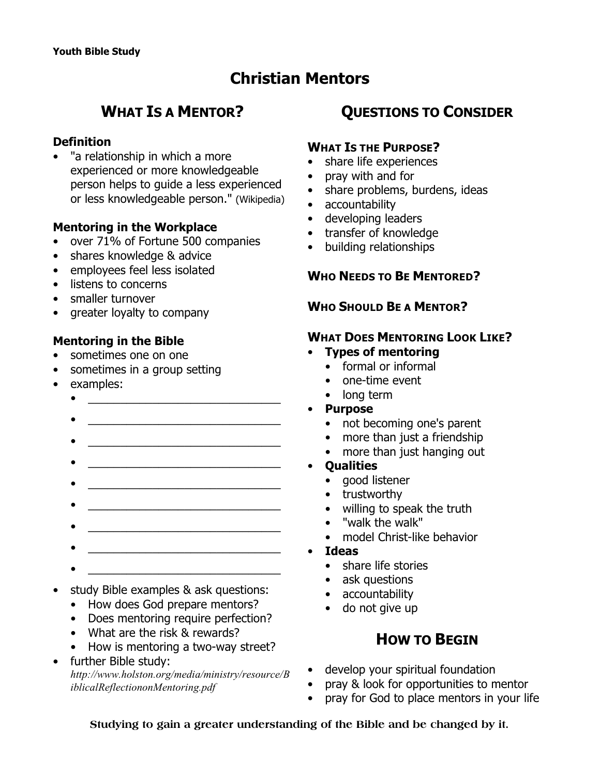# **Christian Mentors**

# **WHAT IS A MENTOR?**

#### **Definition**

"a relationship in which a more experienced or more knowledgeable person helps to guide a less experienced or less knowledgeable person." (Wikipedia)

#### **Mentoring in the Workplace**

- over 71% of Fortune 500 companies
- shares knowledge & advice
- employees feel less isolated
- listens to concerns
- smaller turnover
- greater loyalty to company

### **Mentoring in the Bible**

- sometimes one on one
- sometimes in a group setting
- examples:
	- $\bullet$   $\qquad \qquad$ 
		-
	- $\bullet$   $\qquad \qquad$
	- $\bullet$   $\qquad \qquad$
	- $\bullet$   $\qquad \qquad$
	- $\bullet$   $\qquad \qquad$
	- $\bullet$   $\qquad \qquad$
	- $\bullet$   $\hspace{0.2cm}$   $\hspace{0.2cm}$   $\hspace{0.2cm}$   $\hspace{0.2cm}$   $\hspace{0.2cm}$   $\hspace{0.2cm}$   $\hspace{0.2cm}$   $\hspace{0.2cm}$   $\hspace{0.2cm}$   $\hspace{0.2cm}$   $\hspace{0.2cm}$   $\hspace{0.2cm}$   $\hspace{0.2cm}$   $\hspace{0.2cm}$   $\hspace{0.2cm}$   $\hspace{0.2cm}$   $\hspace{0.2cm}$   $\hspace{0.2cm}$
	- $\bullet$   $\qquad \qquad$
	- $\bullet$   $\hspace{0.2cm}$   $\hspace{0.2cm}$   $\hspace{0.2cm}$   $\hspace{0.2cm}$   $\hspace{0.2cm}$   $\hspace{0.2cm}$   $\hspace{0.2cm}$   $\hspace{0.2cm}$   $\hspace{0.2cm}$   $\hspace{0.2cm}$   $\hspace{0.2cm}$   $\hspace{0.2cm}$   $\hspace{0.2cm}$   $\hspace{0.2cm}$   $\hspace{0.2cm}$   $\hspace{0.2cm}$   $\hspace{0.2cm}$   $\hspace{0.2cm}$
- study Bible examples & ask questions:
	- How does God prepare mentors?
	- Does mentoring require perfection?
	- What are the risk & rewards?
	- How is mentoring a two-way street?
- further Bible study: *http://www.holston.org/media/ministry/resource/B iblicalReflectiononMentoring.pdf*

## **QUESTIONS TO CONSIDER**

#### **WHAT IS THE PURPOSE?**

- share life experiences
- pray with and for
- share problems, burdens, ideas
- accountability
- developing leaders
- transfer of knowledge
- building relationships

### **WHO NEEDS TO BE MENTORED?**

#### **WHO SHOULD BE A MENTOR?**

### **WHAT DOES MENTORING LOOK LIKE?**

- **Types of mentoring**
	- formal or informal
	- one-time event
	- long term
- **Purpose**
	- not becoming one's parent
	- more than just a friendship
	- more than just hanging out
- **Qualities**
	- good listener
	- trustworthy
	- willing to speak the truth
	- "walk the walk"
	- model Christ-like behavior
- **Ideas**
	- share life stories
	- ask questions
	- accountability
	- do not give up

## **HOW TO BEGIN**

- develop your spiritual foundation
- pray & look for opportunities to mentor
- pray for God to place mentors in your life

**Studying to gain a greater understanding of the Bible and be changed by it.**